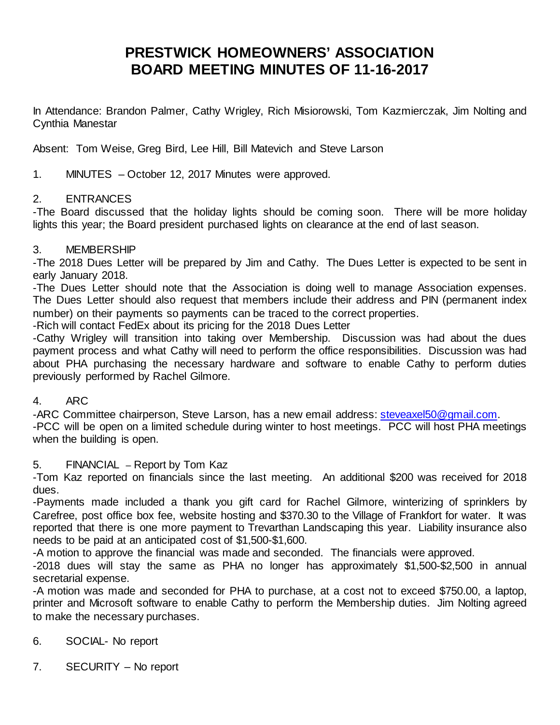# **PRESTWICK HOMEOWNERS' ASSOCIATION BOARD MEETING MINUTES OF 11-16-2017**

In Attendance: Brandon Palmer, Cathy Wrigley, Rich Misiorowski, Tom Kazmierczak, Jim Nolting and Cynthia Manestar

Absent: Tom Weise, Greg Bird, Lee Hill, Bill Matevich and Steve Larson

# 1. MINUTES – October 12, 2017 Minutes were approved.

## 2. ENTRANCES

-The Board discussed that the holiday lights should be coming soon. There will be more holiday lights this year; the Board president purchased lights on clearance at the end of last season.

# 3. MEMBERSHIP

-The 2018 Dues Letter will be prepared by Jim and Cathy. The Dues Letter is expected to be sent in early January 2018.

-The Dues Letter should note that the Association is doing well to manage Association expenses. The Dues Letter should also request that members include their address and PIN (permanent index number) on their payments so payments can be traced to the correct properties.

-Rich will contact FedEx about its pricing for the 2018 Dues Letter

-Cathy Wrigley will transition into taking over Membership. Discussion was had about the dues payment process and what Cathy will need to perform the office responsibilities. Discussion was had about PHA purchasing the necessary hardware and software to enable Cathy to perform duties previously performed by Rachel Gilmore.

## 4. ARC

-ARC Committee chairperson, Steve Larson, has a new email address: [steveaxel50@gmail.com.](mailto:steveaxel50@gmail.com) -PCC will be open on a limited schedule during winter to host meetings. PCC will host PHA meetings when the building is open.

# 5. FINANCIAL – Report by Tom Kaz

-Tom Kaz reported on financials since the last meeting. An additional \$200 was received for 2018 dues.

-Payments made included a thank you gift card for Rachel Gilmore, winterizing of sprinklers by Carefree, post office box fee, website hosting and \$370.30 to the Village of Frankfort for water. It was reported that there is one more payment to Trevarthan Landscaping this year. Liability insurance also needs to be paid at an anticipated cost of \$1,500-\$1,600.

-A motion to approve the financial was made and seconded. The financials were approved.

-2018 dues will stay the same as PHA no longer has approximately \$1,500-\$2,500 in annual secretarial expense.

-A motion was made and seconded for PHA to purchase, at a cost not to exceed \$750.00, a laptop, printer and Microsoft software to enable Cathy to perform the Membership duties. Jim Nolting agreed to make the necessary purchases.

# 6. SOCIAL- No report

7. SECURITY – No report